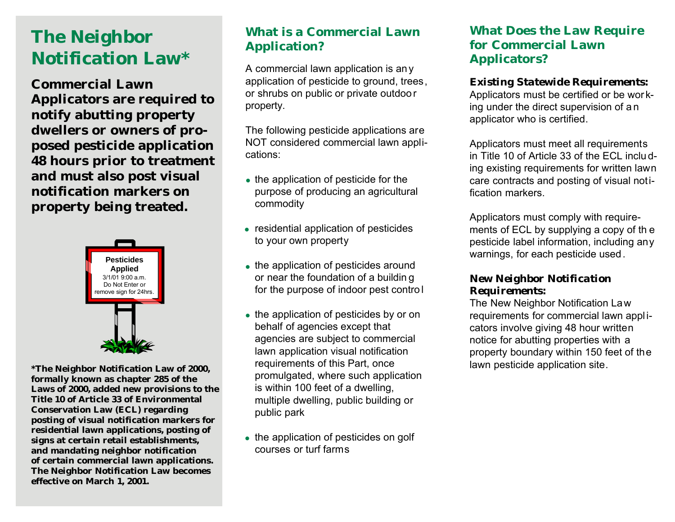# **The Neighbor Notification Law\***

**Commercial Lawn Applicators are required to notify abutting property dwellers or owners of proposed pesticide application 48 hours prior to treatment and must also post visual notification markers on property being treated.**



**\*The Neighbor Notification Law of 2000, formally known as chapter 285 of the Laws of 2000, added new provisions to the Title 10 of Article 33 of Environmental Conservation Law (ECL) regarding posting of visual notification markers for residential lawn applications, posting of signs at certain retail establishments, and mandating neighbor notification of certain commercial lawn applications. The Neighbor Notification Law becomes effective on March 1, 2001.**

## **What is a Commercial Lawn Application?**

A commercial lawn application is an y application of pesticide to ground, trees, or shrubs on public or private outdoo r property.

The following pesticide applications are NOT considered commercial lawn applications:

- the application of pesticide for the purpose of producing an agricultural commodity
- residential application of pesticides to your own property
- the application of pesticides around<br>• superithe faundation of a building or near the foundation of a buildin g for the purpose of indoor pest contro l
- the application of pesticides by or on behalf of agencies except that agencies are subject to commercial lawn application visual notification requirements of this Part, once promulgated, where such application is within 100 feet of a dwelling, multiple dwelling, public building or public park
- the application of pesticides on golf courses or turf farms

## **What Does the Law Require for Commercial Lawn Applicators?**

#### *Existing Statewide Requirements:*

Applicators must be certified or be wor king under the direct supervision of a n applicator who is certified.

Applicators must meet all requirements in Title 10 of Article 33 of the ECL inclu ding existing requirements for written lawn care contracts and posting of visual notification markers.

Applicators must comply with requirements of ECL by supplying a copy of th e pesticide label information, including any warnings, for each pesticide used.

#### *New Neighbor Notification Requirements:*

The New Neighbor Notification Law requirements for commercial lawn appl icators involve giving 48 hour written notice for abutting properties with a property boundary within 150 feet of the lawn pesticide application site.